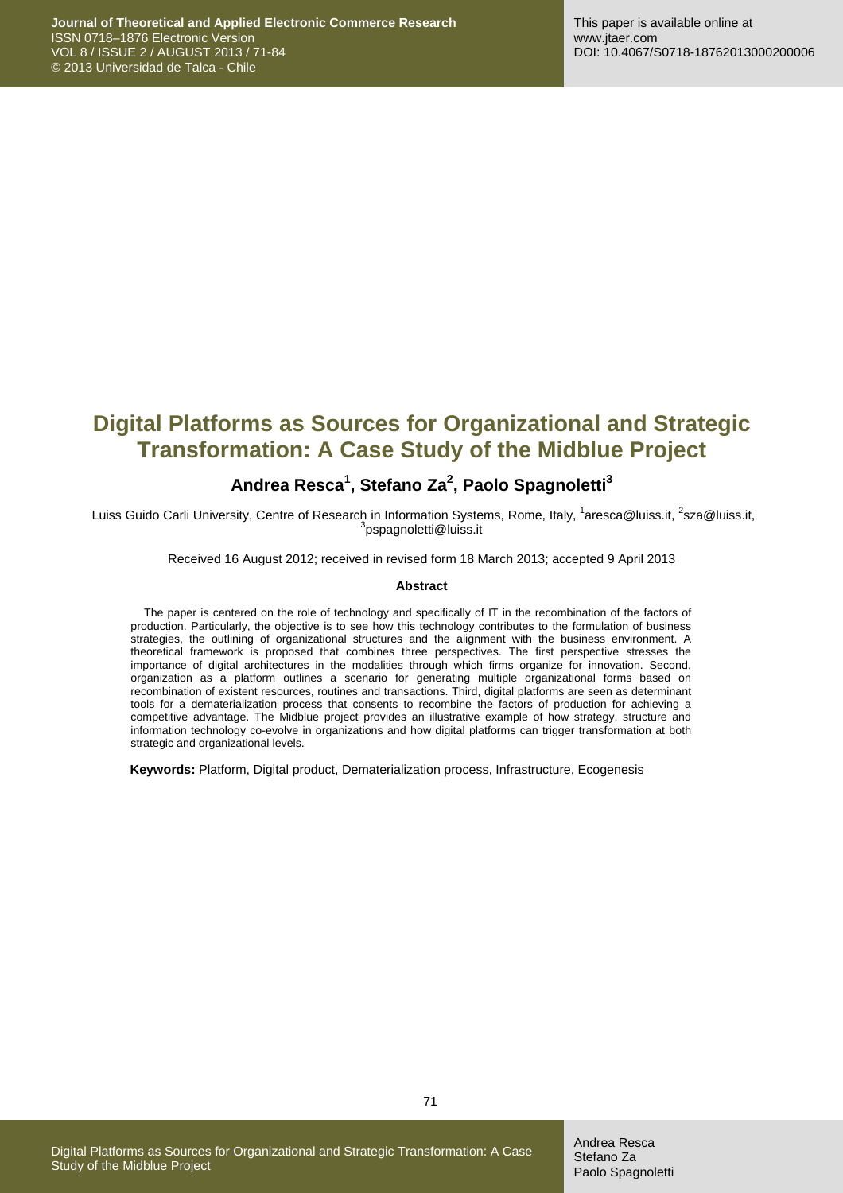# **Digital Platforms as Sources for Organizational and Strategic Transformation: A Case Study of the Midblue Project**

### **Andrea Resca1 , Stefano Za2 , Paolo Spagnoletti3**

Luiss Guido Carli University, Centre of Research in Information Systems, Rome, Italy, <sup>1</sup>aresca@luiss.it, <sup>2</sup>sza@luiss.it, <sup>3</sup>pspagnoletti@luiss.it

Received 16 August 2012; received in revised form 18 March 2013; accepted 9 April 2013

#### **Abstract**

The paper is centered on the role of technology and specifically of IT in the recombination of the factors of production. Particularly, the objective is to see how this technology contributes to the formulation of business strategies, the outlining of organizational structures and the alignment with the business environment. A theoretical framework is proposed that combines three perspectives. The first perspective stresses the importance of digital architectures in the modalities through which firms organize for innovation. Second, organization as a platform outlines a scenario for generating multiple organizational forms based on recombination of existent resources, routines and transactions. Third, digital platforms are seen as determinant tools for a dematerialization process that consents to recombine the factors of production for achieving a competitive advantage. The Midblue project provides an illustrative example of how strategy, structure and information technology co-evolve in organizations and how digital platforms can trigger transformation at both strategic and organizational levels.

**Keywords:** Platform, Digital product, Dematerialization process, Infrastructure, Ecogenesis

Digital Platforms as Sources for Organizational and Strategic Transformation: A Case Study of the Midblue Project

Andrea Resca Stefano Za Paolo Spagnoletti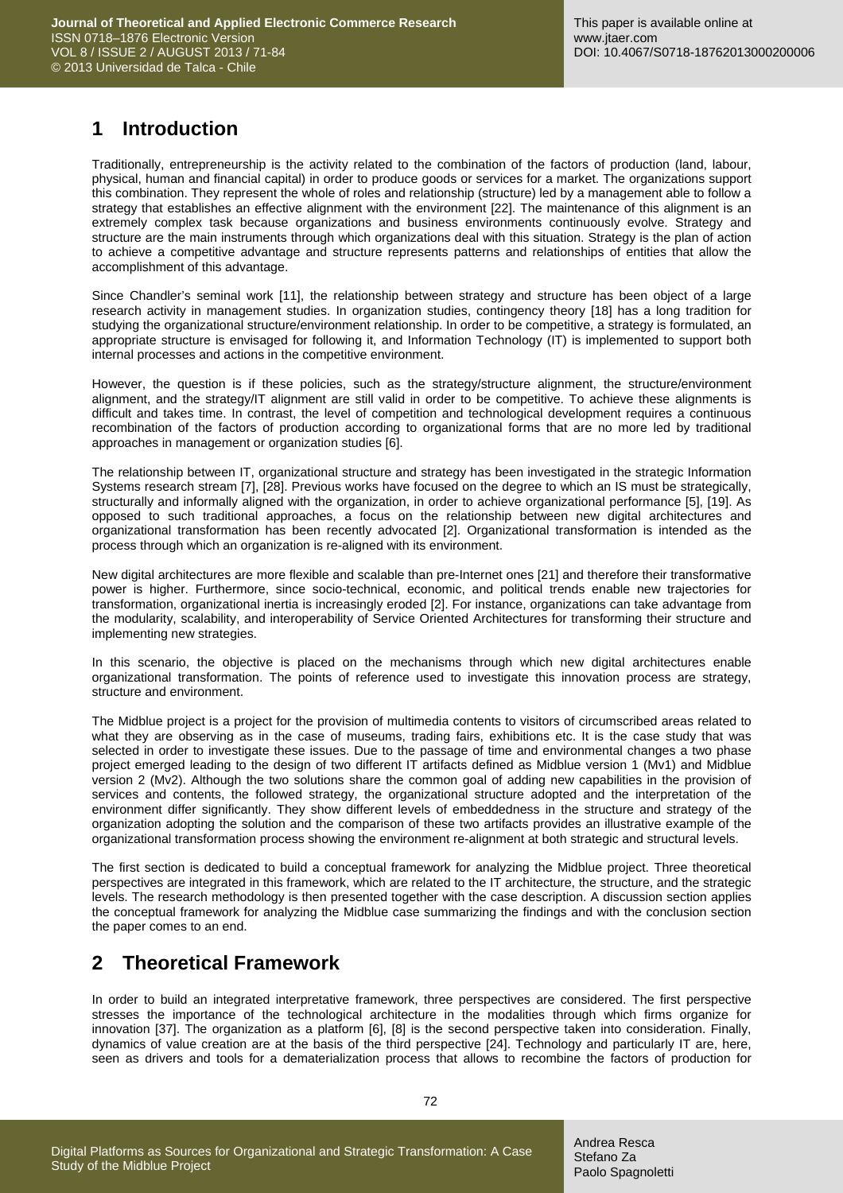## **1 Introduction**

Traditionally, entrepreneurship is the activity related to the combination of the factors of production (land, labour, physical, human and financial capital) in order to produce goods or services for a market. The organizations support this combination. They represent the whole of roles and relationship (structure) led by a management able to follow a strategy that establishes an effective alignment with the environment [22]. The maintenance of this alignment is an extremely complex task because organizations and business environments continuously evolve. Strategy and structure are the main instruments through which organizations deal with this situation. Strategy is the plan of action to achieve a competitive advantage and structure represents patterns and relationships of entities that allow the accomplishment of this advantage.

Since Chandler's seminal work [11], the relationship between strategy and structure has been object of a large research activity in management studies. In organization studies, contingency theory [18] has a long tradition for studying the organizational structure/environment relationship. In order to be competitive, a strategy is formulated, an appropriate structure is envisaged for following it, and Information Technology (IT) is implemented to support both internal processes and actions in the competitive environment.

However, the question is if these policies, such as the strategy/structure alignment, the structure/environment alignment, and the strategy/IT alignment are still valid in order to be competitive. To achieve these alignments is difficult and takes time. In contrast, the level of competition and technological development requires a continuous recombination of the factors of production according to organizational forms that are no more led by traditional approaches in management or organization studies [6].

The relationship between IT, organizational structure and strategy has been investigated in the strategic Information Systems research stream [7], [28]. Previous works have focused on the degree to which an IS must be strategically, structurally and informally aligned with the organization, in order to achieve organizational performance [5], [19]. As opposed to such traditional approaches, a focus on the relationship between new digital architectures and organizational transformation has been recently advocated [2]. Organizational transformation is intended as the process through which an organization is re-aligned with its environment.

New digital architectures are more flexible and scalable than pre-Internet ones [21] and therefore their transformative power is higher. Furthermore, since socio-technical, economic, and political trends enable new trajectories for transformation, organizational inertia is increasingly eroded [2]. For instance, organizations can take advantage from the modularity, scalability, and interoperability of Service Oriented Architectures for transforming their structure and implementing new strategies.

In this scenario, the objective is placed on the mechanisms through which new digital architectures enable organizational transformation. The points of reference used to investigate this innovation process are strategy, structure and environment.

The Midblue project is a project for the provision of multimedia contents to visitors of circumscribed areas related to what they are observing as in the case of museums, trading fairs, exhibitions etc. It is the case study that was selected in order to investigate these issues. Due to the passage of time and environmental changes a two phase project emerged leading to the design of two different IT artifacts defined as Midblue version 1 (Mv1) and Midblue version 2 (Mv2). Although the two solutions share the common goal of adding new capabilities in the provision of services and contents, the followed strategy, the organizational structure adopted and the interpretation of the environment differ significantly. They show different levels of embeddedness in the structure and strategy of the organization adopting the solution and the comparison of these two artifacts provides an illustrative example of the organizational transformation process showing the environment re-alignment at both strategic and structural levels.

The first section is dedicated to build a conceptual framework for analyzing the Midblue project. Three theoretical perspectives are integrated in this framework, which are related to the IT architecture, the structure, and the strategic levels. The research methodology is then presented together with the case description. A discussion section applies the conceptual framework for analyzing the Midblue case summarizing the findings and with the conclusion section the paper comes to an end.

## **2 Theoretical Framework**

In order to build an integrated interpretative framework, three perspectives are considered. The first perspective stresses the importance of the technological architecture in the modalities through which firms organize for innovation [37]. The organization as a platform [6], [8] is the second perspective taken into consideration. Finally, dynamics of value creation are at the basis of the third perspective [24]. Technology and particularly IT are, here, seen as drivers and tools for a dematerialization process that allows to recombine the factors of production for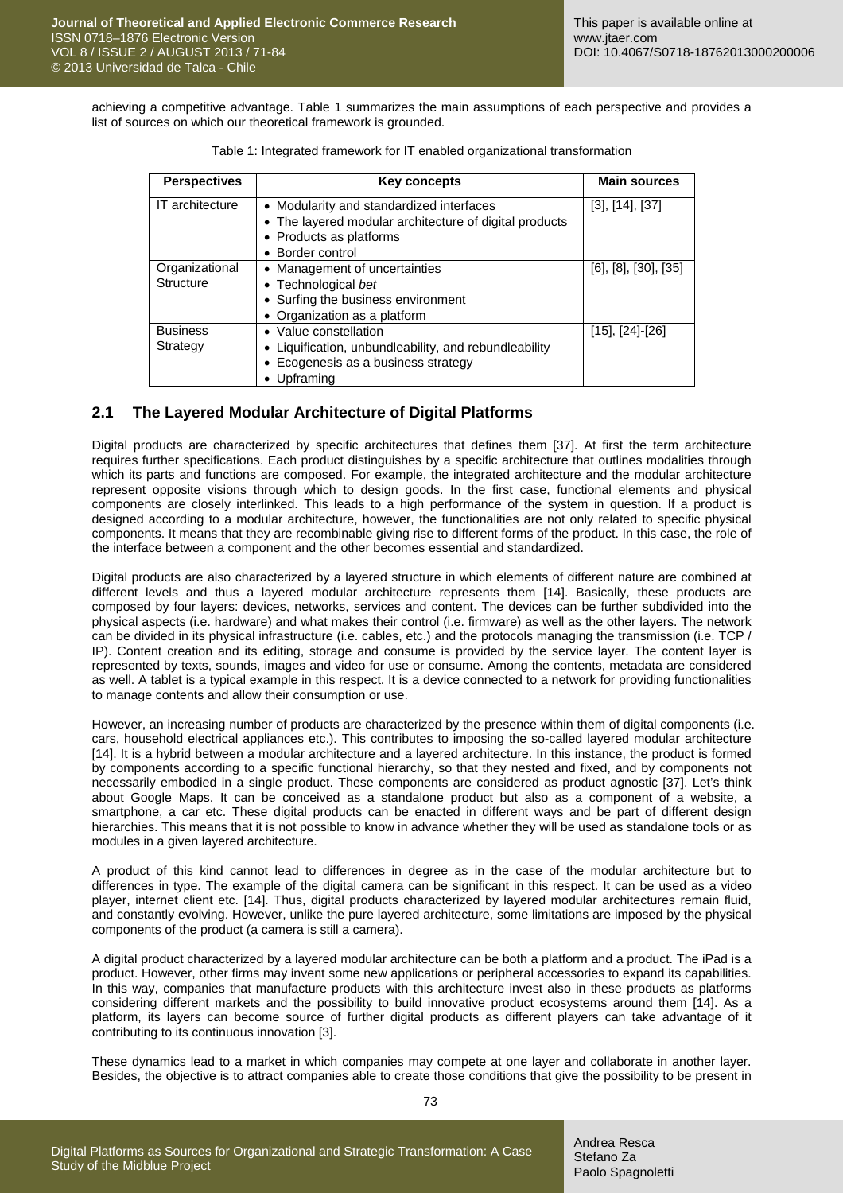achieving a competitive advantage. Table 1 summarizes the main assumptions of each perspective and provides a list of sources on which our theoretical framework is grounded.

| <b>Perspectives</b>                | <b>Key concepts</b>                                                                                                                               | <b>Main sources</b>             |
|------------------------------------|---------------------------------------------------------------------------------------------------------------------------------------------------|---------------------------------|
| IT architecture                    | • Modularity and standardized interfaces<br>• The layered modular architecture of digital products<br>• Products as platforms<br>• Border control | [3], [14], [37]                 |
| Organizational<br><b>Structure</b> | • Management of uncertainties<br>• Technological bet<br>• Surfing the business environment<br>• Organization as a platform                        | $[6]$ , $[8]$ , $[30]$ , $[35]$ |
| <b>Business</b><br>Strategy        | • Value constellation<br>• Liquification, unbundleability, and rebundleability<br>• Ecogenesis as a business strategy<br>• Upframing              | $[15]$ , $[24]$ - $[26]$        |

|  | Table 1: Integrated framework for IT enabled organizational transformation |
|--|----------------------------------------------------------------------------|
|--|----------------------------------------------------------------------------|

#### **2.1 The Layered Modular Architecture of Digital Platforms**

Digital products are characterized by specific architectures that defines them [37]. At first the term architecture requires further specifications. Each product distinguishes by a specific architecture that outlines modalities through which its parts and functions are composed. For example, the integrated architecture and the modular architecture represent opposite visions through which to design goods. In the first case, functional elements and physical components are closely interlinked. This leads to a high performance of the system in question. If a product is designed according to a modular architecture, however, the functionalities are not only related to specific physical components. It means that they are recombinable giving rise to different forms of the product. In this case, the role of the interface between a component and the other becomes essential and standardized.

Digital products are also characterized by a layered structure in which elements of different nature are combined at different levels and thus a layered modular architecture represents them [14]. Basically, these products are composed by four layers: devices, networks, services and content. The devices can be further subdivided into the physical aspects (i.e. hardware) and what makes their control (i.e. firmware) as well as the other layers. The network can be divided in its physical infrastructure (i.e. cables, etc.) and the protocols managing the transmission (i.e. TCP / IP). Content creation and its editing, storage and consume is provided by the service layer. The content layer is represented by texts, sounds, images and video for use or consume. Among the contents, metadata are considered as well. A tablet is a typical example in this respect. It is a device connected to a network for providing functionalities to manage contents and allow their consumption or use.

However, an increasing number of products are characterized by the presence within them of digital components (i.e. cars, household electrical appliances etc.). This contributes to imposing the so-called layered modular architecture [14]. It is a hybrid between a modular architecture and a layered architecture. In this instance, the product is formed by components according to a specific functional hierarchy, so that they nested and fixed, and by components not necessarily embodied in a single product. These components are considered as product agnostic [37]. Let's think about Google Maps. It can be conceived as a standalone product but also as a component of a website, a smartphone, a car etc. These digital products can be enacted in different ways and be part of different design hierarchies. This means that it is not possible to know in advance whether they will be used as standalone tools or as modules in a given layered architecture.

A product of this kind cannot lead to differences in degree as in the case of the modular architecture but to differences in type. The example of the digital camera can be significant in this respect. It can be used as a video player, internet client etc. [14]. Thus, digital products characterized by layered modular architectures remain fluid, and constantly evolving. However, unlike the pure layered architecture, some limitations are imposed by the physical components of the product (a camera is still a camera).

A digital product characterized by a layered modular architecture can be both a platform and a product. The iPad is a product. However, other firms may invent some new applications or peripheral accessories to expand its capabilities. In this way, companies that manufacture products with this architecture invest also in these products as platforms considering different markets and the possibility to build innovative product ecosystems around them [14]. As a platform, its layers can become source of further digital products as different players can take advantage of it contributing to its continuous innovation [3].

These dynamics lead to a market in which companies may compete at one layer and collaborate in another layer. Besides, the objective is to attract companies able to create those conditions that give the possibility to be present in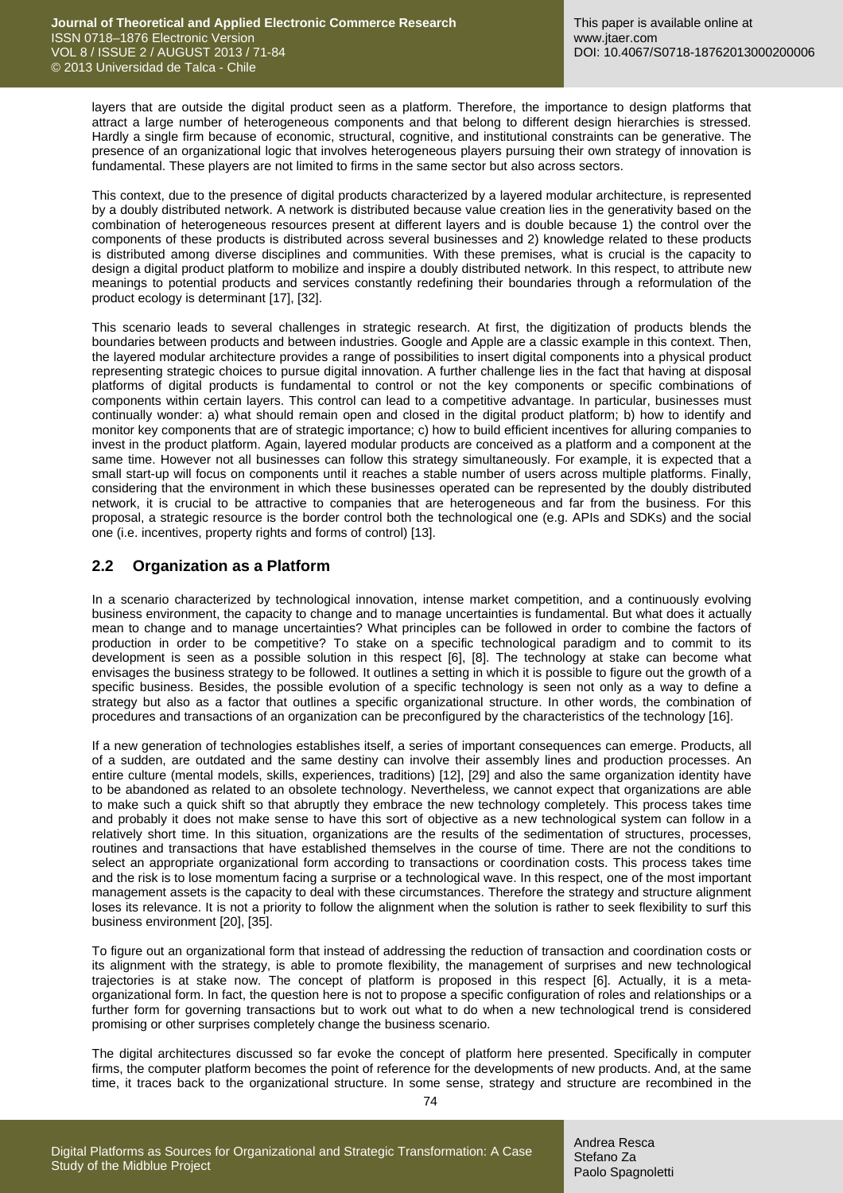layers that are outside the digital product seen as a platform. Therefore, the importance to design platforms that attract a large number of heterogeneous components and that belong to different design hierarchies is stressed. Hardly a single firm because of economic, structural, cognitive, and institutional constraints can be generative. The presence of an organizational logic that involves heterogeneous players pursuing their own strategy of innovation is fundamental. These players are not limited to firms in the same sector but also across sectors.

This context, due to the presence of digital products characterized by a layered modular architecture, is represented by a doubly distributed network. A network is distributed because value creation lies in the generativity based on the combination of heterogeneous resources present at different layers and is double because 1) the control over the components of these products is distributed across several businesses and 2) knowledge related to these products is distributed among diverse disciplines and communities. With these premises, what is crucial is the capacity to design a digital product platform to mobilize and inspire a doubly distributed network. In this respect, to attribute new meanings to potential products and services constantly redefining their boundaries through a reformulation of the product ecology is determinant [17], [32].

This scenario leads to several challenges in strategic research. At first, the digitization of products blends the boundaries between products and between industries. Google and Apple are a classic example in this context. Then, the layered modular architecture provides a range of possibilities to insert digital components into a physical product representing strategic choices to pursue digital innovation. A further challenge lies in the fact that having at disposal platforms of digital products is fundamental to control or not the key components or specific combinations of components within certain layers. This control can lead to a competitive advantage. In particular, businesses must continually wonder: a) what should remain open and closed in the digital product platform; b) how to identify and monitor key components that are of strategic importance; c) how to build efficient incentives for alluring companies to invest in the product platform. Again, layered modular products are conceived as a platform and a component at the same time. However not all businesses can follow this strategy simultaneously. For example, it is expected that a small start-up will focus on components until it reaches a stable number of users across multiple platforms. Finally, considering that the environment in which these businesses operated can be represented by the doubly distributed network, it is crucial to be attractive to companies that are heterogeneous and far from the business. For this proposal, a strategic resource is the border control both the technological one (e.g. APIs and SDKs) and the social one (i.e. incentives, property rights and forms of control) [13].

#### **2.2 Organization as a Platform**

In a scenario characterized by technological innovation, intense market competition, and a continuously evolving business environment, the capacity to change and to manage uncertainties is fundamental. But what does it actually mean to change and to manage uncertainties? What principles can be followed in order to combine the factors of production in order to be competitive? To stake on a specific technological paradigm and to commit to its development is seen as a possible solution in this respect [6], [8]. The technology at stake can become what envisages the business strategy to be followed. It outlines a setting in which it is possible to figure out the growth of a specific business. Besides, the possible evolution of a specific technology is seen not only as a way to define a strategy but also as a factor that outlines a specific organizational structure. In other words, the combination of procedures and transactions of an organization can be preconfigured by the characteristics of the technology [16].

If a new generation of technologies establishes itself, a series of important consequences can emerge. Products, all of a sudden, are outdated and the same destiny can involve their assembly lines and production processes. An entire culture (mental models, skills, experiences, traditions) [12], [29] and also the same organization identity have to be abandoned as related to an obsolete technology. Nevertheless, we cannot expect that organizations are able to make such a quick shift so that abruptly they embrace the new technology completely. This process takes time and probably it does not make sense to have this sort of objective as a new technological system can follow in a relatively short time. In this situation, organizations are the results of the sedimentation of structures, processes, routines and transactions that have established themselves in the course of time. There are not the conditions to select an appropriate organizational form according to transactions or coordination costs. This process takes time and the risk is to lose momentum facing a surprise or a technological wave. In this respect, one of the most important management assets is the capacity to deal with these circumstances. Therefore the strategy and structure alignment loses its relevance. It is not a priority to follow the alignment when the solution is rather to seek flexibility to surf this business environment [20], [35].

To figure out an organizational form that instead of addressing the reduction of transaction and coordination costs or its alignment with the strategy, is able to promote flexibility, the management of surprises and new technological trajectories is at stake now. The concept of platform is proposed in this respect [6]. Actually, it is a metaorganizational form. In fact, the question here is not to propose a specific configuration of roles and relationships or a further form for governing transactions but to work out what to do when a new technological trend is considered promising or other surprises completely change the business scenario.

The digital architectures discussed so far evoke the concept of platform here presented. Specifically in computer firms, the computer platform becomes the point of reference for the developments of new products. And, at the same time, it traces back to the organizational structure. In some sense, strategy and structure are recombined in the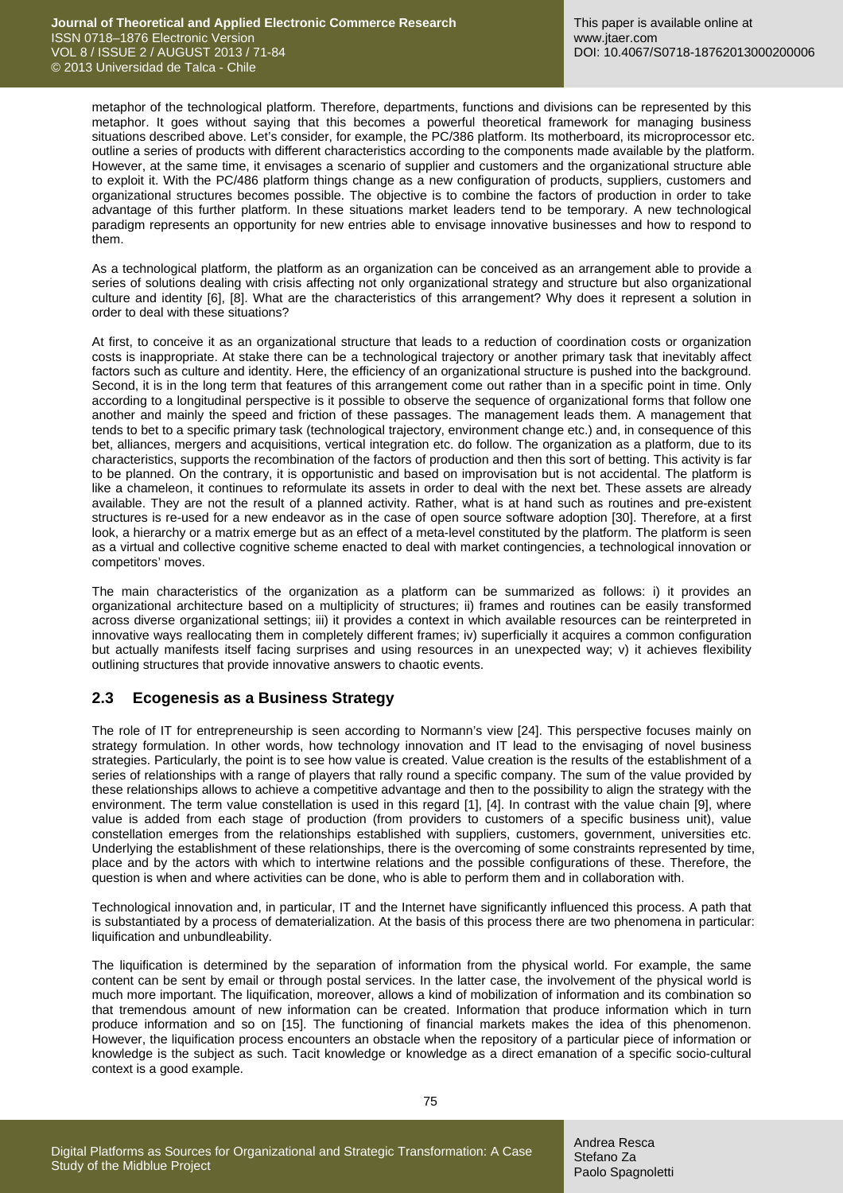metaphor of the technological platform. Therefore, departments, functions and divisions can be represented by this metaphor. It goes without saying that this becomes a powerful theoretical framework for managing business situations described above. Let's consider, for example, the PC/386 platform. Its motherboard, its microprocessor etc. outline a series of products with different characteristics according to the components made available by the platform. However, at the same time, it envisages a scenario of supplier and customers and the organizational structure able to exploit it. With the PC/486 platform things change as a new configuration of products, suppliers, customers and organizational structures becomes possible. The objective is to combine the factors of production in order to take advantage of this further platform. In these situations market leaders tend to be temporary. A new technological paradigm represents an opportunity for new entries able to envisage innovative businesses and how to respond to them.

As a technological platform, the platform as an organization can be conceived as an arrangement able to provide a series of solutions dealing with crisis affecting not only organizational strategy and structure but also organizational culture and identity [6], [8]. What are the characteristics of this arrangement? Why does it represent a solution in order to deal with these situations?

At first, to conceive it as an organizational structure that leads to a reduction of coordination costs or organization costs is inappropriate. At stake there can be a technological trajectory or another primary task that inevitably affect factors such as culture and identity. Here, the efficiency of an organizational structure is pushed into the background. Second, it is in the long term that features of this arrangement come out rather than in a specific point in time. Only according to a longitudinal perspective is it possible to observe the sequence of organizational forms that follow one another and mainly the speed and friction of these passages. The management leads them. A management that tends to bet to a specific primary task (technological trajectory, environment change etc.) and, in consequence of this bet, alliances, mergers and acquisitions, vertical integration etc. do follow. The organization as a platform, due to its characteristics, supports the recombination of the factors of production and then this sort of betting. This activity is far to be planned. On the contrary, it is opportunistic and based on improvisation but is not accidental. The platform is like a chameleon, it continues to reformulate its assets in order to deal with the next bet. These assets are already available. They are not the result of a planned activity. Rather, what is at hand such as routines and pre-existent structures is re-used for a new endeavor as in the case of open source software adoption [30]. Therefore, at a first look, a hierarchy or a matrix emerge but as an effect of a meta-level constituted by the platform. The platform is seen as a virtual and collective cognitive scheme enacted to deal with market contingencies, a technological innovation or competitors' moves.

The main characteristics of the organization as a platform can be summarized as follows: i) it provides an organizational architecture based on a multiplicity of structures; ii) frames and routines can be easily transformed across diverse organizational settings; iii) it provides a context in which available resources can be reinterpreted in innovative ways reallocating them in completely different frames; iv) superficially it acquires a common configuration but actually manifests itself facing surprises and using resources in an unexpected way; v) it achieves flexibility outlining structures that provide innovative answers to chaotic events.

#### **2.3 Ecogenesis as a Business Strategy**

The role of IT for entrepreneurship is seen according to Normann's view [24]. This perspective focuses mainly on strategy formulation. In other words, how technology innovation and IT lead to the envisaging of novel business strategies. Particularly, the point is to see how value is created. Value creation is the results of the establishment of a series of relationships with a range of players that rally round a specific company. The sum of the value provided by these relationships allows to achieve a competitive advantage and then to the possibility to align the strategy with the environment. The term value constellation is used in this regard [1], [4]. In contrast with the value chain [9], where value is added from each stage of production (from providers to customers of a specific business unit), value constellation emerges from the relationships established with suppliers, customers, government, universities etc. Underlying the establishment of these relationships, there is the overcoming of some constraints represented by time, place and by the actors with which to intertwine relations and the possible configurations of these. Therefore, the question is when and where activities can be done, who is able to perform them and in collaboration with.

Technological innovation and, in particular, IT and the Internet have significantly influenced this process. A path that is substantiated by a process of dematerialization. At the basis of this process there are two phenomena in particular: liquification and unbundleability.

The liquification is determined by the separation of information from the physical world. For example, the same content can be sent by email or through postal services. In the latter case, the involvement of the physical world is much more important. The liquification, moreover, allows a kind of mobilization of information and its combination so that tremendous amount of new information can be created. Information that produce information which in turn produce information and so on [15]. The functioning of financial markets makes the idea of this phenomenon. However, the liquification process encounters an obstacle when the repository of a particular piece of information or knowledge is the subject as such. Tacit knowledge or knowledge as a direct emanation of a specific socio-cultural context is a good example.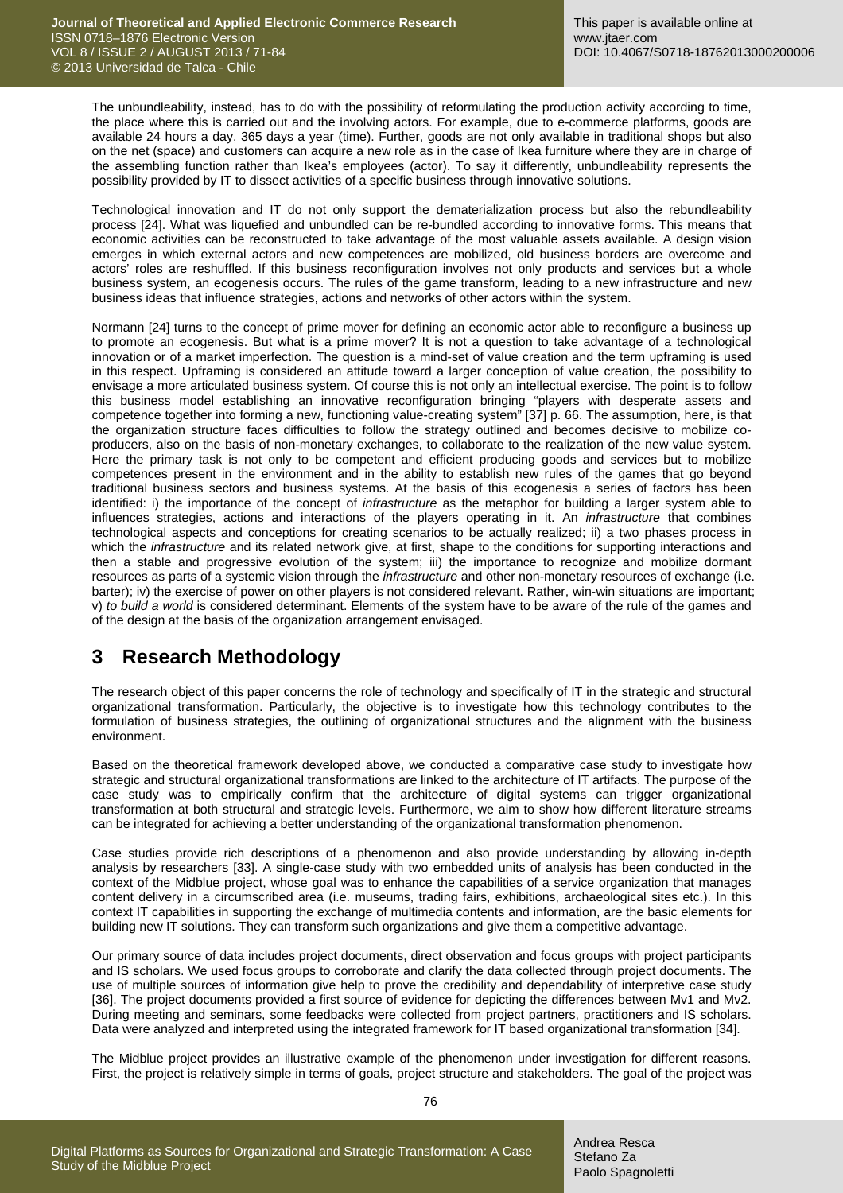The unbundleability, instead, has to do with the possibility of reformulating the production activity according to time, the place where this is carried out and the involving actors. For example, due to e-commerce platforms, goods are available 24 hours a day, 365 days a year (time). Further, goods are not only available in traditional shops but also on the net (space) and customers can acquire a new role as in the case of Ikea furniture where they are in charge of the assembling function rather than Ikea's employees (actor). To say it differently, unbundleability represents the possibility provided by IT to dissect activities of a specific business through innovative solutions.

Technological innovation and IT do not only support the dematerialization process but also the rebundleability process [24]. What was liquefied and unbundled can be re-bundled according to innovative forms. This means that economic activities can be reconstructed to take advantage of the most valuable assets available. A design vision emerges in which external actors and new competences are mobilized, old business borders are overcome and actors' roles are reshuffled. If this business reconfiguration involves not only products and services but a whole business system, an ecogenesis occurs. The rules of the game transform, leading to a new infrastructure and new business ideas that influence strategies, actions and networks of other actors within the system.

Normann [24] turns to the concept of prime mover for defining an economic actor able to reconfigure a business up to promote an ecogenesis. But what is a prime mover? It is not a question to take advantage of a technological innovation or of a market imperfection. The question is a mind-set of value creation and the term upframing is used in this respect. Upframing is considered an attitude toward a larger conception of value creation, the possibility to envisage a more articulated business system. Of course this is not only an intellectual exercise. The point is to follow this business model establishing an innovative reconfiguration bringing "players with desperate assets and competence together into forming a new, functioning value-creating system" [37] p. 66. The assumption, here, is that the organization structure faces difficulties to follow the strategy outlined and becomes decisive to mobilize coproducers, also on the basis of non-monetary exchanges, to collaborate to the realization of the new value system. Here the primary task is not only to be competent and efficient producing goods and services but to mobilize competences present in the environment and in the ability to establish new rules of the games that go beyond traditional business sectors and business systems. At the basis of this ecogenesis a series of factors has been identified: i) the importance of the concept of *infrastructure* as the metaphor for building a larger system able to influences strategies, actions and interactions of the players operating in it. An *infrastructure* that combines technological aspects and conceptions for creating scenarios to be actually realized; ii) a two phases process in which the *infrastructure* and its related network give, at first, shape to the conditions for supporting interactions and then a stable and progressive evolution of the system; iii) the importance to recognize and mobilize dormant resources as parts of a systemic vision through the *infrastructure* and other non-monetary resources of exchange (i.e. barter); iv) the exercise of power on other players is not considered relevant. Rather, win-win situations are important; v) *to build a world* is considered determinant. Elements of the system have to be aware of the rule of the games and of the design at the basis of the organization arrangement envisaged.

## **3 Research Methodology**

The research object of this paper concerns the role of technology and specifically of IT in the strategic and structural organizational transformation. Particularly, the objective is to investigate how this technology contributes to the formulation of business strategies, the outlining of organizational structures and the alignment with the business environment.

Based on the theoretical framework developed above, we conducted a comparative case study to investigate how strategic and structural organizational transformations are linked to the architecture of IT artifacts. The purpose of the case study was to empirically confirm that the architecture of digital systems can trigger organizational transformation at both structural and strategic levels. Furthermore, we aim to show how different literature streams can be integrated for achieving a better understanding of the organizational transformation phenomenon.

Case studies provide rich descriptions of a phenomenon and also provide understanding by allowing in-depth analysis by researchers [33]. A single-case study with two embedded units of analysis has been conducted in the context of the Midblue project, whose goal was to enhance the capabilities of a service organization that manages content delivery in a circumscribed area (i.e. museums, trading fairs, exhibitions, archaeological sites etc.). In this context IT capabilities in supporting the exchange of multimedia contents and information, are the basic elements for building new IT solutions. They can transform such organizations and give them a competitive advantage.

Our primary source of data includes project documents, direct observation and focus groups with project participants and IS scholars. We used focus groups to corroborate and clarify the data collected through project documents. The use of multiple sources of information give help to prove the credibility and dependability of interpretive case study [36]. The project documents provided a first source of evidence for depicting the differences between Mv1 and Mv2. During meeting and seminars, some feedbacks were collected from project partners, practitioners and IS scholars. Data were analyzed and interpreted using the integrated framework for IT based organizational transformation [34].

The Midblue project provides an illustrative example of the phenomenon under investigation for different reasons. First, the project is relatively simple in terms of goals, project structure and stakeholders. The goal of the project was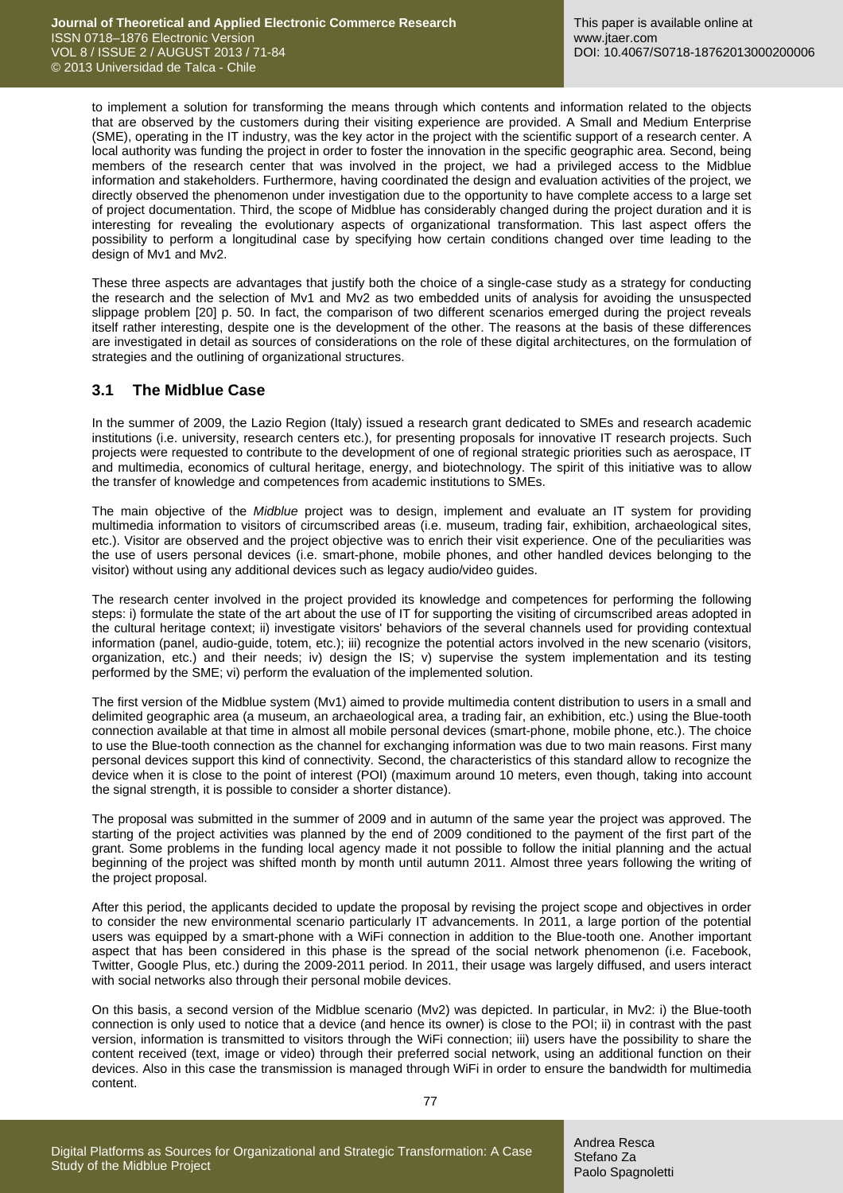to implement a solution for transforming the means through which contents and information related to the objects that are observed by the customers during their visiting experience are provided. A Small and Medium Enterprise (SME), operating in the IT industry, was the key actor in the project with the scientific support of a research center. A local authority was funding the project in order to foster the innovation in the specific geographic area. Second, being members of the research center that was involved in the project, we had a privileged access to the Midblue information and stakeholders. Furthermore, having coordinated the design and evaluation activities of the project, we directly observed the phenomenon under investigation due to the opportunity to have complete access to a large set of project documentation. Third, the scope of Midblue has considerably changed during the project duration and it is interesting for revealing the evolutionary aspects of organizational transformation. This last aspect offers the possibility to perform a longitudinal case by specifying how certain conditions changed over time leading to the design of Mv1 and Mv2.

These three aspects are advantages that justify both the choice of a single-case study as a strategy for conducting the research and the selection of Mv1 and Mv2 as two embedded units of analysis for avoiding the unsuspected slippage problem [20] p. 50. In fact, the comparison of two different scenarios emerged during the project reveals itself rather interesting, despite one is the development of the other. The reasons at the basis of these differences are investigated in detail as sources of considerations on the role of these digital architectures, on the formulation of strategies and the outlining of organizational structures.

#### **3.1 The Midblue Case**

In the summer of 2009, the Lazio Region (Italy) issued a research grant dedicated to SMEs and research academic institutions (i.e. university, research centers etc.), for presenting proposals for innovative IT research projects. Such projects were requested to contribute to the development of one of regional strategic priorities such as aerospace, IT and multimedia, economics of cultural heritage, energy, and biotechnology. The spirit of this initiative was to allow the transfer of knowledge and competences from academic institutions to SMEs.

The main objective of the *Midblue* project was to design, implement and evaluate an IT system for providing multimedia information to visitors of circumscribed areas (i.e. museum, trading fair, exhibition, archaeological sites, etc.). Visitor are observed and the project objective was to enrich their visit experience. One of the peculiarities was the use of users personal devices (i.e. smart-phone, mobile phones, and other handled devices belonging to the visitor) without using any additional devices such as legacy audio/video guides.

The research center involved in the project provided its knowledge and competences for performing the following steps: i) formulate the state of the art about the use of IT for supporting the visiting of circumscribed areas adopted in the cultural heritage context; ii) investigate visitors' behaviors of the several channels used for providing contextual information (panel, audio-guide, totem, etc.); iii) recognize the potential actors involved in the new scenario (visitors, organization, etc.) and their needs; iv) design the IS; v) supervise the system implementation and its testing performed by the SME; vi) perform the evaluation of the implemented solution.

The first version of the Midblue system (Mv1) aimed to provide multimedia content distribution to users in a small and delimited geographic area (a museum, an archaeological area, a trading fair, an exhibition, etc.) using the Blue-tooth connection available at that time in almost all mobile personal devices (smart-phone, mobile phone, etc.). The choice to use the Blue-tooth connection as the channel for exchanging information was due to two main reasons. First many personal devices support this kind of connectivity. Second, the characteristics of this standard allow to recognize the device when it is close to the point of interest (POI) (maximum around 10 meters, even though, taking into account the signal strength, it is possible to consider a shorter distance).

The proposal was submitted in the summer of 2009 and in autumn of the same year the project was approved. The starting of the project activities was planned by the end of 2009 conditioned to the payment of the first part of the grant. Some problems in the funding local agency made it not possible to follow the initial planning and the actual beginning of the project was shifted month by month until autumn 2011. Almost three years following the writing of the project proposal.

After this period, the applicants decided to update the proposal by revising the project scope and objectives in order to consider the new environmental scenario particularly IT advancements. In 2011, a large portion of the potential users was equipped by a smart-phone with a WiFi connection in addition to the Blue-tooth one. Another important aspect that has been considered in this phase is the spread of the social network phenomenon (i.e. Facebook, Twitter, Google Plus, etc.) during the 2009-2011 period. In 2011, their usage was largely diffused, and users interact with social networks also through their personal mobile devices.

On this basis, a second version of the Midblue scenario (Mv2) was depicted. In particular, in Mv2: i) the Blue-tooth connection is only used to notice that a device (and hence its owner) is close to the POI; ii) in contrast with the past version, information is transmitted to visitors through the WiFi connection; iii) users have the possibility to share the content received (text, image or video) through their preferred social network, using an additional function on their devices. Also in this case the transmission is managed through WiFi in order to ensure the bandwidth for multimedia content.

Andrea Resca Stefano Za Paolo Spagnoletti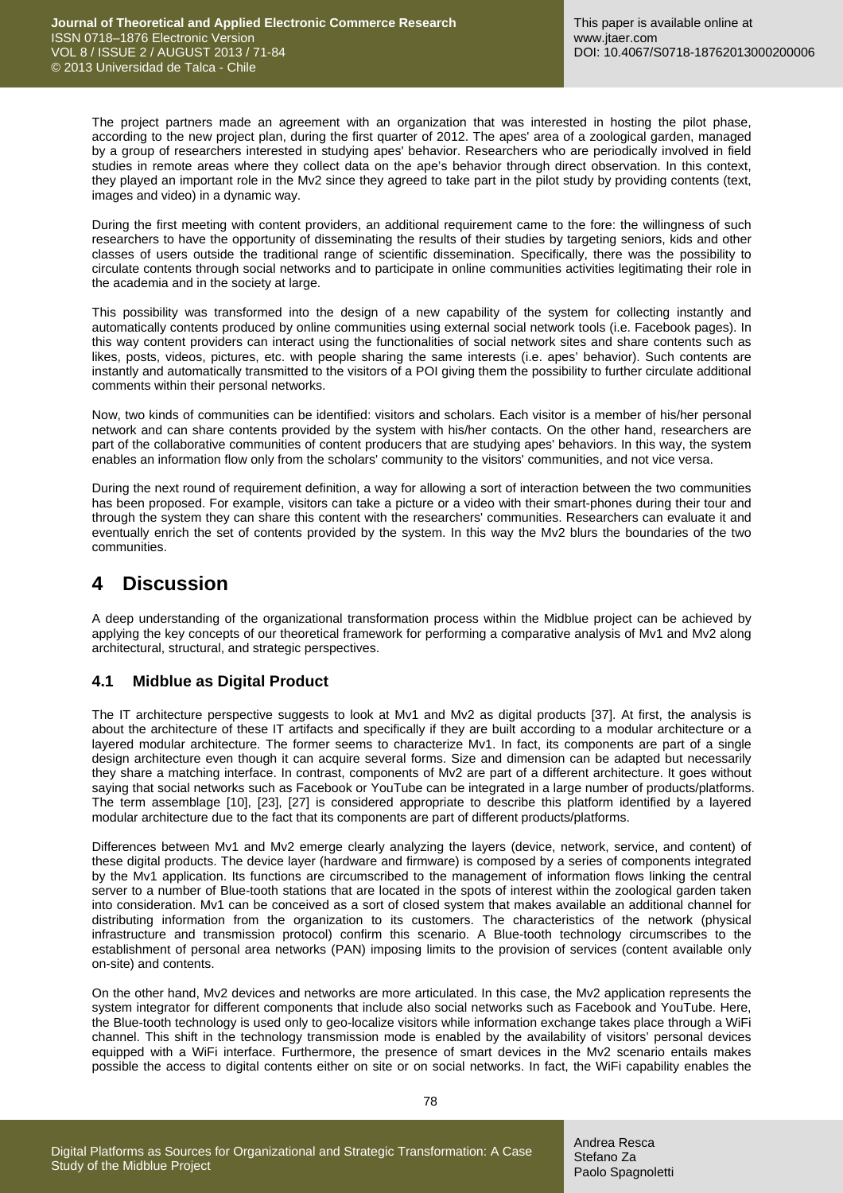The project partners made an agreement with an organization that was interested in hosting the pilot phase, according to the new project plan, during the first quarter of 2012. The apes' area of a zoological garden, managed by a group of researchers interested in studying apes' behavior. Researchers who are periodically involved in field studies in remote areas where they collect data on the ape's behavior through direct observation. In this context, they played an important role in the Mv2 since they agreed to take part in the pilot study by providing contents (text, images and video) in a dynamic way.

During the first meeting with content providers, an additional requirement came to the fore: the willingness of such researchers to have the opportunity of disseminating the results of their studies by targeting seniors, kids and other classes of users outside the traditional range of scientific dissemination. Specifically, there was the possibility to circulate contents through social networks and to participate in online communities activities legitimating their role in the academia and in the society at large.

This possibility was transformed into the design of a new capability of the system for collecting instantly and automatically contents produced by online communities using external social network tools (i.e. Facebook pages). In this way content providers can interact using the functionalities of social network sites and share contents such as likes, posts, videos, pictures, etc. with people sharing the same interests (i.e. apes' behavior). Such contents are instantly and automatically transmitted to the visitors of a POI giving them the possibility to further circulate additional comments within their personal networks.

Now, two kinds of communities can be identified: visitors and scholars. Each visitor is a member of his/her personal network and can share contents provided by the system with his/her contacts. On the other hand, researchers are part of the collaborative communities of content producers that are studying apes' behaviors. In this way, the system enables an information flow only from the scholars' community to the visitors' communities, and not vice versa.

During the next round of requirement definition, a way for allowing a sort of interaction between the two communities has been proposed. For example, visitors can take a picture or a video with their smart-phones during their tour and through the system they can share this content with the researchers' communities. Researchers can evaluate it and eventually enrich the set of contents provided by the system. In this way the Mv2 blurs the boundaries of the two communities.

### **4 Discussion**

A deep understanding of the organizational transformation process within the Midblue project can be achieved by applying the key concepts of our theoretical framework for performing a comparative analysis of Mv1 and Mv2 along architectural, structural, and strategic perspectives.

### **4.1 Midblue as Digital Product**

The IT architecture perspective suggests to look at Mv1 and Mv2 as digital products [37]. At first, the analysis is about the architecture of these IT artifacts and specifically if they are built according to a modular architecture or a layered modular architecture. The former seems to characterize Mv1. In fact, its components are part of a single design architecture even though it can acquire several forms. Size and dimension can be adapted but necessarily they share a matching interface. In contrast, components of Mv2 are part of a different architecture. It goes without saying that social networks such as Facebook or YouTube can be integrated in a large number of products/platforms. The term assemblage [10], [23], [27] is considered appropriate to describe this platform identified by a layered modular architecture due to the fact that its components are part of different products/platforms.

Differences between Mv1 and Mv2 emerge clearly analyzing the layers (device, network, service, and content) of these digital products. The device layer (hardware and firmware) is composed by a series of components integrated by the Mv1 application. Its functions are circumscribed to the management of information flows linking the central server to a number of Blue-tooth stations that are located in the spots of interest within the zoological garden taken into consideration. Mv1 can be conceived as a sort of closed system that makes available an additional channel for distributing information from the organization to its customers. The characteristics of the network (physical infrastructure and transmission protocol) confirm this scenario. A Blue-tooth technology circumscribes to the establishment of personal area networks (PAN) imposing limits to the provision of services (content available only on-site) and contents.

On the other hand, Mv2 devices and networks are more articulated. In this case, the Mv2 application represents the system integrator for different components that include also social networks such as Facebook and YouTube. Here, the Blue-tooth technology is used only to geo-localize visitors while information exchange takes place through a WiFi channel. This shift in the technology transmission mode is enabled by the availability of visitors' personal devices equipped with a WiFi interface. Furthermore, the presence of smart devices in the Mv2 scenario entails makes possible the access to digital contents either on site or on social networks. In fact, the WiFi capability enables the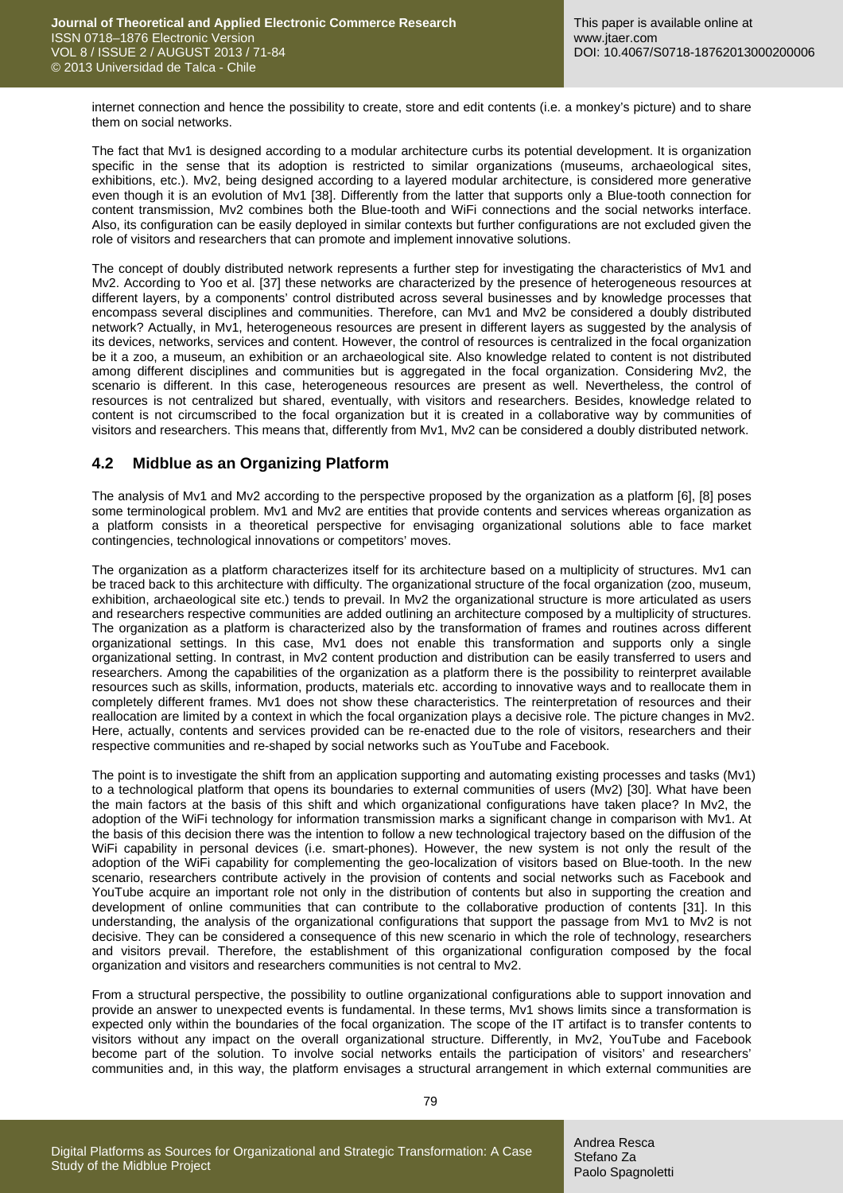internet connection and hence the possibility to create, store and edit contents (i.e. a monkey's picture) and to share them on social networks.

The fact that Mv1 is designed according to a modular architecture curbs its potential development. It is organization specific in the sense that its adoption is restricted to similar organizations (museums, archaeological sites, exhibitions, etc.). Mv2, being designed according to a layered modular architecture, is considered more generative even though it is an evolution of Mv1 [38]. Differently from the latter that supports only a Blue-tooth connection for content transmission, Mv2 combines both the Blue-tooth and WiFi connections and the social networks interface. Also, its configuration can be easily deployed in similar contexts but further configurations are not excluded given the role of visitors and researchers that can promote and implement innovative solutions.

The concept of doubly distributed network represents a further step for investigating the characteristics of Mv1 and Mv2. According to Yoo et al. [37] these networks are characterized by the presence of heterogeneous resources at different layers, by a components' control distributed across several businesses and by knowledge processes that encompass several disciplines and communities. Therefore, can Mv1 and Mv2 be considered a doubly distributed network? Actually, in Mv1, heterogeneous resources are present in different layers as suggested by the analysis of its devices, networks, services and content. However, the control of resources is centralized in the focal organization be it a zoo, a museum, an exhibition or an archaeological site. Also knowledge related to content is not distributed among different disciplines and communities but is aggregated in the focal organization. Considering Mv2, the scenario is different. In this case, heterogeneous resources are present as well. Nevertheless, the control of resources is not centralized but shared, eventually, with visitors and researchers. Besides, knowledge related to content is not circumscribed to the focal organization but it is created in a collaborative way by communities of visitors and researchers. This means that, differently from Mv1, Mv2 can be considered a doubly distributed network.

#### **4.2 Midblue as an Organizing Platform**

The analysis of Mv1 and Mv2 according to the perspective proposed by the organization as a platform [6], [8] poses some terminological problem. Mv1 and Mv2 are entities that provide contents and services whereas organization as a platform consists in a theoretical perspective for envisaging organizational solutions able to face market contingencies, technological innovations or competitors' moves.

The organization as a platform characterizes itself for its architecture based on a multiplicity of structures. Mv1 can be traced back to this architecture with difficulty. The organizational structure of the focal organization (zoo, museum, exhibition, archaeological site etc.) tends to prevail. In Mv2 the organizational structure is more articulated as users and researchers respective communities are added outlining an architecture composed by a multiplicity of structures. The organization as a platform is characterized also by the transformation of frames and routines across different organizational settings. In this case, Mv1 does not enable this transformation and supports only a single organizational setting. In contrast, in Mv2 content production and distribution can be easily transferred to users and researchers. Among the capabilities of the organization as a platform there is the possibility to reinterpret available resources such as skills, information, products, materials etc. according to innovative ways and to reallocate them in completely different frames. Mv1 does not show these characteristics. The reinterpretation of resources and their reallocation are limited by a context in which the focal organization plays a decisive role. The picture changes in Mv2. Here, actually, contents and services provided can be re-enacted due to the role of visitors, researchers and their respective communities and re-shaped by social networks such as YouTube and Facebook.

The point is to investigate the shift from an application supporting and automating existing processes and tasks (Mv1) to a technological platform that opens its boundaries to external communities of users (Mv2) [30]. What have been the main factors at the basis of this shift and which organizational configurations have taken place? In Mv2, the adoption of the WiFi technology for information transmission marks a significant change in comparison with Mv1. At the basis of this decision there was the intention to follow a new technological trajectory based on the diffusion of the WiFi capability in personal devices (i.e. smart-phones). However, the new system is not only the result of the adoption of the WiFi capability for complementing the geo-localization of visitors based on Blue-tooth. In the new scenario, researchers contribute actively in the provision of contents and social networks such as Facebook and YouTube acquire an important role not only in the distribution of contents but also in supporting the creation and development of online communities that can contribute to the collaborative production of contents [31]. In this understanding, the analysis of the organizational configurations that support the passage from Mv1 to Mv2 is not decisive. They can be considered a consequence of this new scenario in which the role of technology, researchers and visitors prevail. Therefore, the establishment of this organizational configuration composed by the focal organization and visitors and researchers communities is not central to Mv2.

From a structural perspective, the possibility to outline organizational configurations able to support innovation and provide an answer to unexpected events is fundamental. In these terms, Mv1 shows limits since a transformation is expected only within the boundaries of the focal organization. The scope of the IT artifact is to transfer contents to visitors without any impact on the overall organizational structure. Differently, in Mv2, YouTube and Facebook become part of the solution. To involve social networks entails the participation of visitors' and researchers' communities and, in this way, the platform envisages a structural arrangement in which external communities are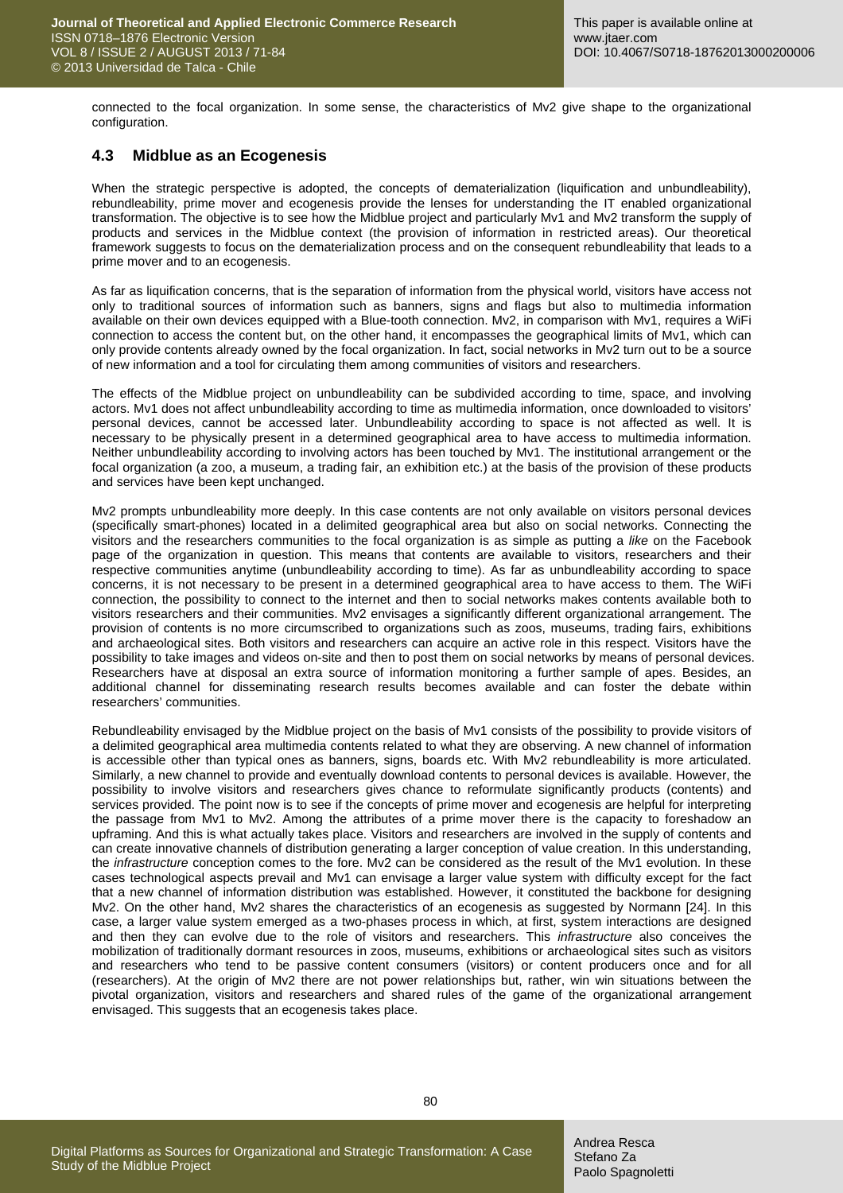connected to the focal organization. In some sense, the characteristics of Mv2 give shape to the organizational configuration.

#### **4.3 Midblue as an Ecogenesis**

When the strategic perspective is adopted, the concepts of dematerialization (liquification and unbundleability), rebundleability, prime mover and ecogenesis provide the lenses for understanding the IT enabled organizational transformation. The objective is to see how the Midblue project and particularly Mv1 and Mv2 transform the supply of products and services in the Midblue context (the provision of information in restricted areas). Our theoretical framework suggests to focus on the dematerialization process and on the consequent rebundleability that leads to a prime mover and to an ecogenesis.

As far as liquification concerns, that is the separation of information from the physical world, visitors have access not only to traditional sources of information such as banners, signs and flags but also to multimedia information available on their own devices equipped with a Blue-tooth connection. Mv2, in comparison with Mv1, requires a WiFi connection to access the content but, on the other hand, it encompasses the geographical limits of Mv1, which can only provide contents already owned by the focal organization. In fact, social networks in Mv2 turn out to be a source of new information and a tool for circulating them among communities of visitors and researchers.

The effects of the Midblue project on unbundleability can be subdivided according to time, space, and involving actors. Mv1 does not affect unbundleability according to time as multimedia information, once downloaded to visitors' personal devices, cannot be accessed later. Unbundleability according to space is not affected as well. It is necessary to be physically present in a determined geographical area to have access to multimedia information. Neither unbundleability according to involving actors has been touched by Mv1. The institutional arrangement or the focal organization (a zoo, a museum, a trading fair, an exhibition etc.) at the basis of the provision of these products and services have been kept unchanged.

Mv2 prompts unbundleability more deeply. In this case contents are not only available on visitors personal devices (specifically smart-phones) located in a delimited geographical area but also on social networks. Connecting the visitors and the researchers communities to the focal organization is as simple as putting a *like* on the Facebook page of the organization in question. This means that contents are available to visitors, researchers and their respective communities anytime (unbundleability according to time). As far as unbundleability according to space concerns, it is not necessary to be present in a determined geographical area to have access to them. The WiFi connection, the possibility to connect to the internet and then to social networks makes contents available both to visitors researchers and their communities. Mv2 envisages a significantly different organizational arrangement. The provision of contents is no more circumscribed to organizations such as zoos, museums, trading fairs, exhibitions and archaeological sites. Both visitors and researchers can acquire an active role in this respect. Visitors have the possibility to take images and videos on-site and then to post them on social networks by means of personal devices. Researchers have at disposal an extra source of information monitoring a further sample of apes. Besides, an additional channel for disseminating research results becomes available and can foster the debate within researchers' communities.

Rebundleability envisaged by the Midblue project on the basis of Mv1 consists of the possibility to provide visitors of a delimited geographical area multimedia contents related to what they are observing. A new channel of information is accessible other than typical ones as banners, signs, boards etc. With Mv2 rebundleability is more articulated. Similarly, a new channel to provide and eventually download contents to personal devices is available. However, the possibility to involve visitors and researchers gives chance to reformulate significantly products (contents) and services provided. The point now is to see if the concepts of prime mover and ecogenesis are helpful for interpreting the passage from Mv1 to Mv2. Among the attributes of a prime mover there is the capacity to foreshadow an upframing. And this is what actually takes place. Visitors and researchers are involved in the supply of contents and can create innovative channels of distribution generating a larger conception of value creation. In this understanding, the *infrastructure* conception comes to the fore. Mv2 can be considered as the result of the Mv1 evolution. In these cases technological aspects prevail and Mv1 can envisage a larger value system with difficulty except for the fact that a new channel of information distribution was established. However, it constituted the backbone for designing Mv2. On the other hand, Mv2 shares the characteristics of an ecogenesis as suggested by Normann [24]. In this case, a larger value system emerged as a two-phases process in which, at first, system interactions are designed and then they can evolve due to the role of visitors and researchers. This *infrastructure* also conceives the mobilization of traditionally dormant resources in zoos, museums, exhibitions or archaeological sites such as visitors and researchers who tend to be passive content consumers (visitors) or content producers once and for all (researchers). At the origin of Mv2 there are not power relationships but, rather, win win situations between the pivotal organization, visitors and researchers and shared rules of the game of the organizational arrangement envisaged. This suggests that an ecogenesis takes place.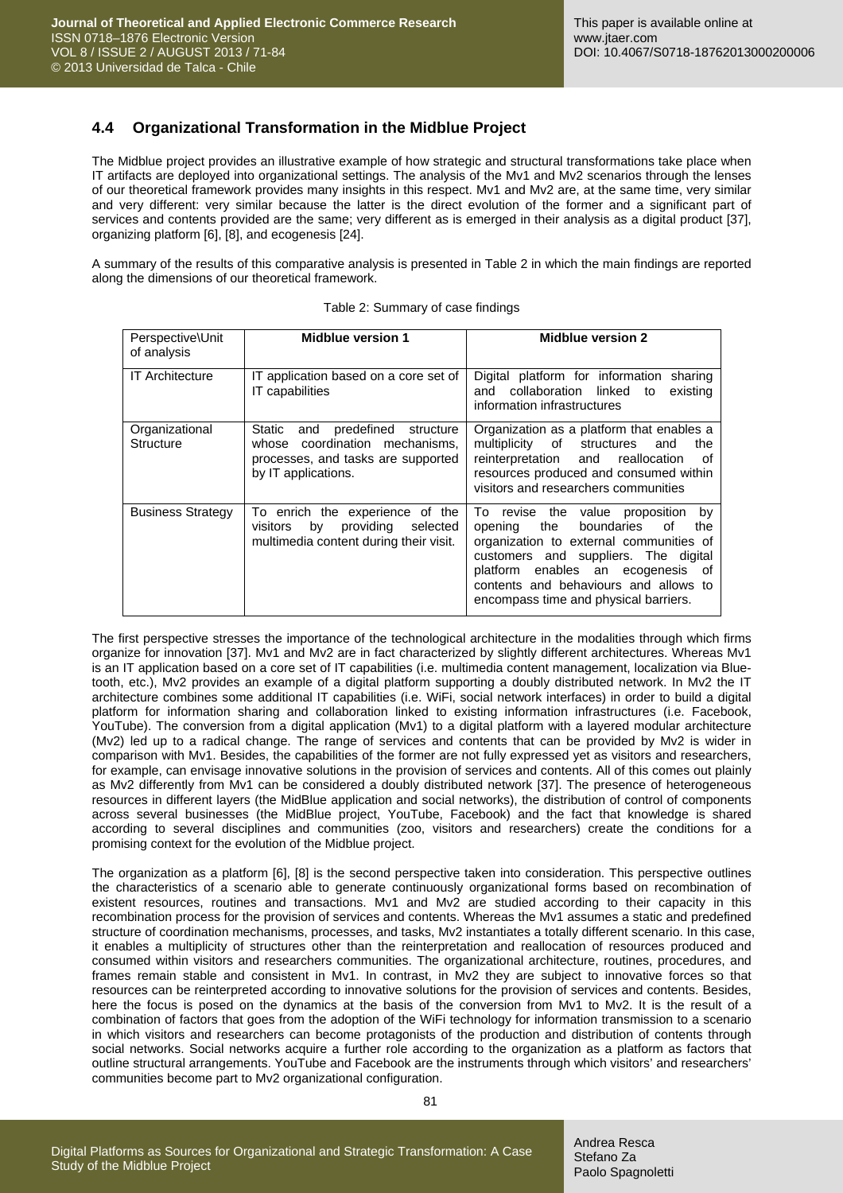#### **4.4 Organizational Transformation in the Midblue Project**

The Midblue project provides an illustrative example of how strategic and structural transformations take place when IT artifacts are deployed into organizational settings. The analysis of the Mv1 and Mv2 scenarios through the lenses of our theoretical framework provides many insights in this respect. Mv1 and Mv2 are, at the same time, very similar and very different: very similar because the latter is the direct evolution of the former and a significant part of services and contents provided are the same; very different as is emerged in their analysis as a digital product [37], organizing platform [6], [8], and ecogenesis [24].

A summary of the results of this comparative analysis is presented in Table 2 in which the main findings are reported along the dimensions of our theoretical framework.

| Perspective\Unit<br>of analysis    | <b>Midblue version 1</b>                                                                                                             | Midblue version 2                                                                                                                                                                                                                                                                      |
|------------------------------------|--------------------------------------------------------------------------------------------------------------------------------------|----------------------------------------------------------------------------------------------------------------------------------------------------------------------------------------------------------------------------------------------------------------------------------------|
| <b>IT Architecture</b>             | IT application based on a core set of<br>IT capabilities                                                                             | Digital platform for information sharing<br>and collaboration linked to<br>existing<br>information infrastructures                                                                                                                                                                     |
| Organizational<br><b>Structure</b> | Static<br>predefined structure<br>and<br>whose coordination mechanisms.<br>processes, and tasks are supported<br>by IT applications. | Organization as a platform that enables a<br>multiplicity of structures and<br>the<br>reinterpretation and<br>reallocation<br>οf<br>resources produced and consumed within<br>visitors and researchers communities                                                                     |
| <b>Business Strategy</b>           | To enrich the experience of the<br>providing selected<br>by<br>visitors<br>multimedia content during their visit.                    | To revise the value proposition by<br>the<br>boundaries of<br>opening<br>the<br>organization to external communities of<br>customers and suppliers. The digital<br>platform enables an ecogenesis of<br>contents and behaviours and allows to<br>encompass time and physical barriers. |

|  | Table 2: Summary of case findings |  |  |
|--|-----------------------------------|--|--|
|--|-----------------------------------|--|--|

The first perspective stresses the importance of the technological architecture in the modalities through which firms organize for innovation [37]. Mv1 and Mv2 are in fact characterized by slightly different architectures. Whereas Mv1 is an IT application based on a core set of IT capabilities (i.e. multimedia content management, localization via Bluetooth, etc.), Mv2 provides an example of a digital platform supporting a doubly distributed network. In Mv2 the IT architecture combines some additional IT capabilities (i.e. WiFi, social network interfaces) in order to build a digital platform for information sharing and collaboration linked to existing information infrastructures (i.e. Facebook, YouTube). The conversion from a digital application (Mv1) to a digital platform with a layered modular architecture (Mv2) led up to a radical change. The range of services and contents that can be provided by Mv2 is wider in comparison with Mv1. Besides, the capabilities of the former are not fully expressed yet as visitors and researchers, for example, can envisage innovative solutions in the provision of services and contents. All of this comes out plainly as Mv2 differently from Mv1 can be considered a doubly distributed network [37]. The presence of heterogeneous resources in different layers (the MidBlue application and social networks), the distribution of control of components across several businesses (the MidBlue project, YouTube, Facebook) and the fact that knowledge is shared according to several disciplines and communities (zoo, visitors and researchers) create the conditions for a promising context for the evolution of the Midblue project.

The organization as a platform [6], [8] is the second perspective taken into consideration. This perspective outlines the characteristics of a scenario able to generate continuously organizational forms based on recombination of existent resources, routines and transactions. Mv1 and Mv2 are studied according to their capacity in this recombination process for the provision of services and contents. Whereas the Mv1 assumes a static and predefined structure of coordination mechanisms, processes, and tasks, Mv2 instantiates a totally different scenario. In this case, it enables a multiplicity of structures other than the reinterpretation and reallocation of resources produced and consumed within visitors and researchers communities. The organizational architecture, routines, procedures, and frames remain stable and consistent in Mv1. In contrast, in Mv2 they are subject to innovative forces so that resources can be reinterpreted according to innovative solutions for the provision of services and contents. Besides, here the focus is posed on the dynamics at the basis of the conversion from Mv1 to Mv2. It is the result of a combination of factors that goes from the adoption of the WiFi technology for information transmission to a scenario in which visitors and researchers can become protagonists of the production and distribution of contents through social networks. Social networks acquire a further role according to the organization as a platform as factors that outline structural arrangements. YouTube and Facebook are the instruments through which visitors' and researchers' communities become part to Mv2 organizational configuration.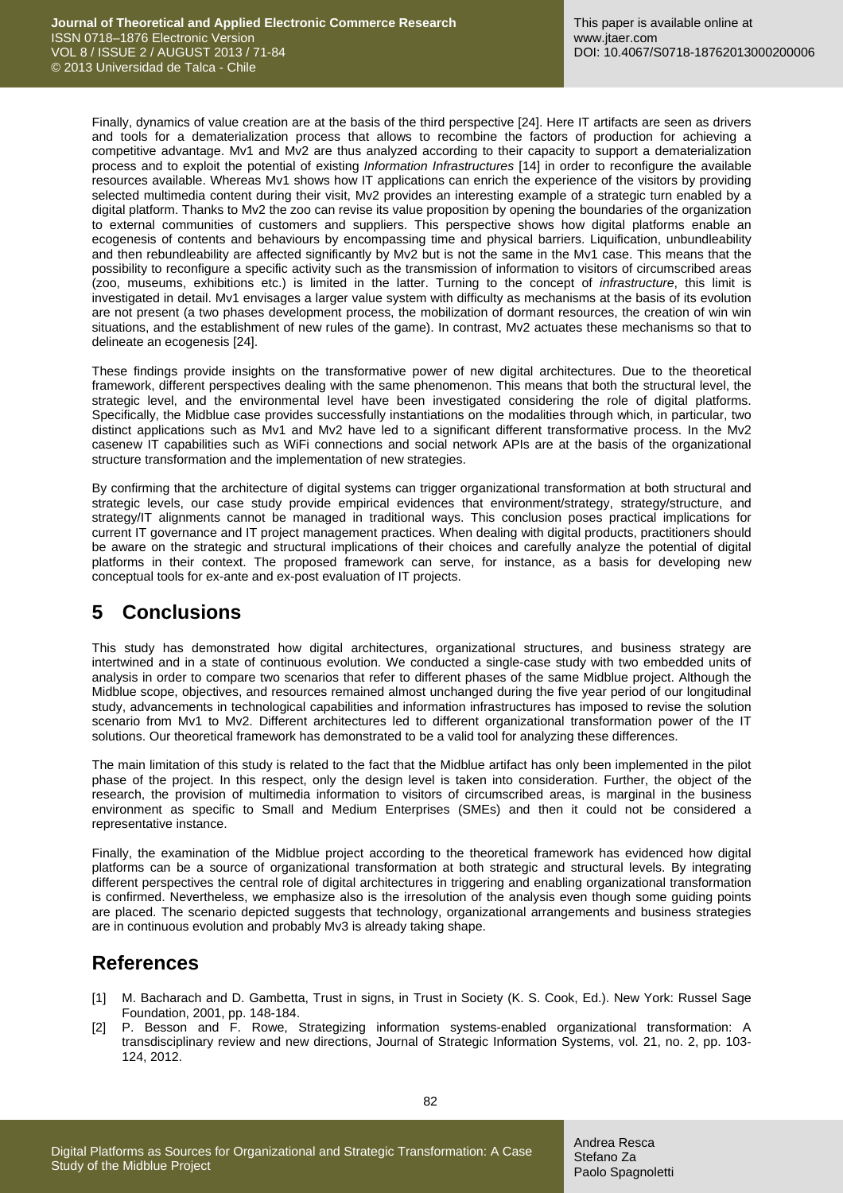Finally, dynamics of value creation are at the basis of the third perspective [24]. Here IT artifacts are seen as drivers and tools for a dematerialization process that allows to recombine the factors of production for achieving a competitive advantage. Mv1 and Mv2 are thus analyzed according to their capacity to support a dematerialization process and to exploit the potential of existing *Information Infrastructures* [14] in order to reconfigure the available resources available. Whereas Mv1 shows how IT applications can enrich the experience of the visitors by providing selected multimedia content during their visit, Mv2 provides an interesting example of a strategic turn enabled by a digital platform. Thanks to Mv2 the zoo can revise its value proposition by opening the boundaries of the organization to external communities of customers and suppliers. This perspective shows how digital platforms enable an ecogenesis of contents and behaviours by encompassing time and physical barriers. Liquification, unbundleability and then rebundleability are affected significantly by Mv2 but is not the same in the Mv1 case. This means that the possibility to reconfigure a specific activity such as the transmission of information to visitors of circumscribed areas (zoo, museums, exhibitions etc.) is limited in the latter. Turning to the concept of *infrastructure*, this limit is investigated in detail. Mv1 envisages a larger value system with difficulty as mechanisms at the basis of its evolution are not present (a two phases development process, the mobilization of dormant resources, the creation of win win situations, and the establishment of new rules of the game). In contrast, Mv2 actuates these mechanisms so that to delineate an ecogenesis [24].

These findings provide insights on the transformative power of new digital architectures. Due to the theoretical framework, different perspectives dealing with the same phenomenon. This means that both the structural level, the strategic level, and the environmental level have been investigated considering the role of digital platforms. Specifically, the Midblue case provides successfully instantiations on the modalities through which, in particular, two distinct applications such as Mv1 and Mv2 have led to a significant different transformative process. In the Mv2 casenew IT capabilities such as WiFi connections and social network APIs are at the basis of the organizational structure transformation and the implementation of new strategies.

By confirming that the architecture of digital systems can trigger organizational transformation at both structural and strategic levels, our case study provide empirical evidences that environment/strategy, strategy/structure, and strategy/IT alignments cannot be managed in traditional ways. This conclusion poses practical implications for current IT governance and IT project management practices. When dealing with digital products, practitioners should be aware on the strategic and structural implications of their choices and carefully analyze the potential of digital platforms in their context. The proposed framework can serve, for instance, as a basis for developing new conceptual tools for ex-ante and ex-post evaluation of IT projects.

## **5 Conclusions**

This study has demonstrated how digital architectures, organizational structures, and business strategy are intertwined and in a state of continuous evolution. We conducted a single-case study with two embedded units of analysis in order to compare two scenarios that refer to different phases of the same Midblue project. Although the Midblue scope, objectives, and resources remained almost unchanged during the five year period of our longitudinal study, advancements in technological capabilities and information infrastructures has imposed to revise the solution scenario from Mv1 to Mv2. Different architectures led to different organizational transformation power of the IT solutions. Our theoretical framework has demonstrated to be a valid tool for analyzing these differences.

The main limitation of this study is related to the fact that the Midblue artifact has only been implemented in the pilot phase of the project. In this respect, only the design level is taken into consideration. Further, the object of the research, the provision of multimedia information to visitors of circumscribed areas, is marginal in the business environment as specific to Small and Medium Enterprises (SMEs) and then it could not be considered a representative instance.

Finally, the examination of the Midblue project according to the theoretical framework has evidenced how digital platforms can be a source of organizational transformation at both strategic and structural levels. By integrating different perspectives the central role of digital architectures in triggering and enabling organizational transformation is confirmed. Nevertheless, we emphasize also is the irresolution of the analysis even though some guiding points are placed. The scenario depicted suggests that technology, organizational arrangements and business strategies are in continuous evolution and probably Mv3 is already taking shape.

## **References**

- [1] M. Bacharach and D. Gambetta, Trust in signs, in Trust in Society (K. S. Cook, Ed.). New York: Russel Sage Foundation, 2001, pp. 148-184.
- [2] P. Besson and F. Rowe, Strategizing information systems-enabled organizational transformation: A transdisciplinary review and new directions, Journal of Strategic Information Systems, vol. 21, no. 2, pp. 103- 124, 2012.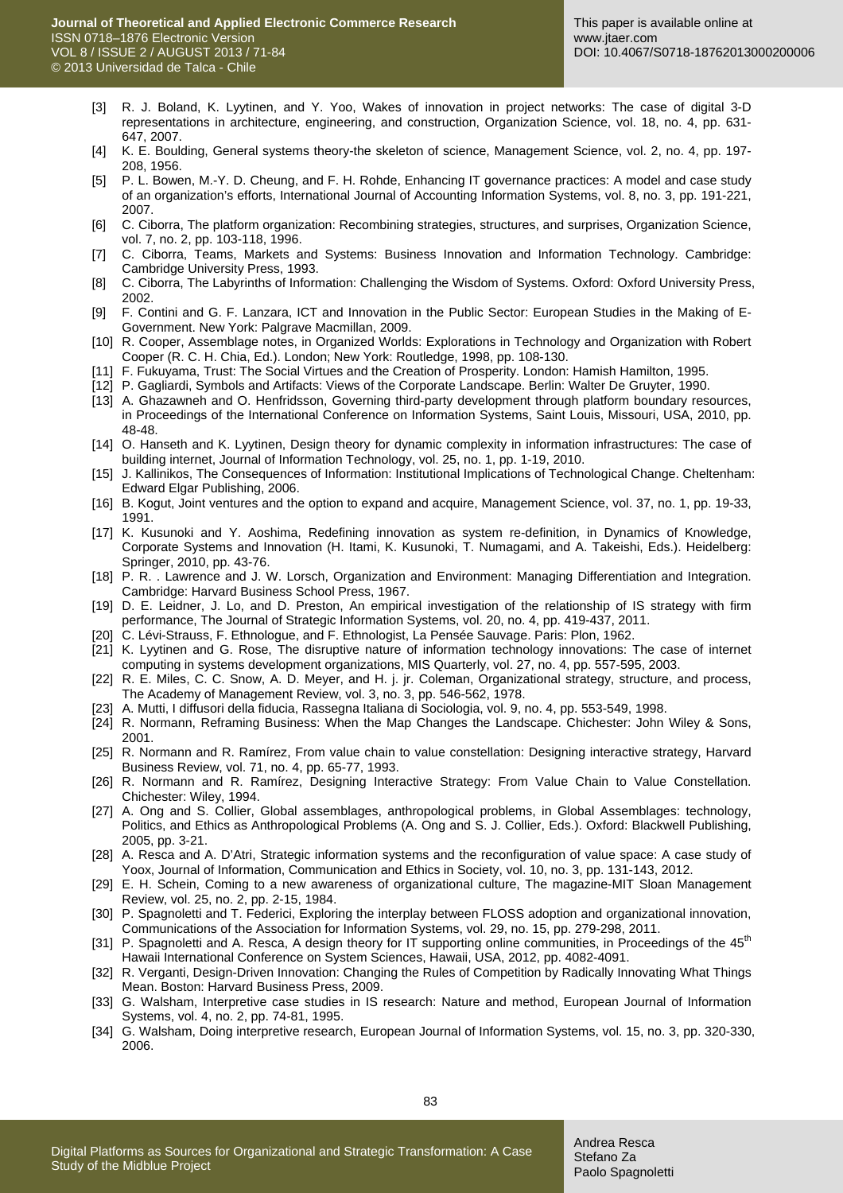- [3] R. J. Boland, K. Lyytinen, and Y. Yoo, Wakes of innovation in project networks: The case of digital 3-D representations in architecture, engineering, and construction, Organization Science, vol. 18, no. 4, pp. 631- 647, 2007.
- [4] K. E. Boulding, General systems theory-the skeleton of science, Management Science, vol. 2, no. 4, pp. 197- 208, 1956.
- [5] P. L. Bowen, M.-Y. D. Cheung, and F. H. Rohde, Enhancing IT governance practices: A model and case study of an organization's efforts, International Journal of Accounting Information Systems, vol. 8, no. 3, pp. 191-221, 2007.
- [6] C. Ciborra, The platform organization: Recombining strategies, structures, and surprises, Organization Science, vol. 7, no. 2, pp. 103-118, 1996.
- [7] C. Ciborra, Teams, Markets and Systems: Business Innovation and Information Technology. Cambridge: Cambridge University Press, 1993.
- [8] C. Ciborra, The Labyrinths of Information: Challenging the Wisdom of Systems. Oxford: Oxford University Press, 2002.
- [9] F. Contini and G. F. Lanzara, ICT and Innovation in the Public Sector: European Studies in the Making of E-Government. New York: Palgrave Macmillan, 2009.
- [10] R. Cooper, Assemblage notes, in Organized Worlds: Explorations in Technology and Organization with Robert Cooper (R. C. H. Chia, Ed.). London; New York: Routledge, 1998, pp. 108-130.
- [11] F. Fukuyama, Trust: The Social Virtues and the Creation of Prosperity. London: Hamish Hamilton, 1995.
- [12] P. Gagliardi, Symbols and Artifacts: Views of the Corporate Landscape. Berlin: Walter De Gruyter, 1990.
- [13] A. Ghazawneh and O. Henfridsson, Governing third-party development through platform boundary resources, in Proceedings of the International Conference on Information Systems, Saint Louis, Missouri, USA, 2010, pp. 48-48.
- [14] O. Hanseth and K. Lyytinen, Design theory for dynamic complexity in information infrastructures: The case of building internet, Journal of Information Technology, vol. 25, no. 1, pp. 1-19, 2010.
- [15] J. Kallinikos, The Consequences of Information: Institutional Implications of Technological Change. Cheltenham: Edward Elgar Publishing, 2006.
- [16] B. Kogut, Joint ventures and the option to expand and acquire, Management Science, vol. 37, no. 1, pp. 19-33, 1991.
- [17] K. Kusunoki and Y. Aoshima, Redefining innovation as system re-definition, in Dynamics of Knowledge, Corporate Systems and Innovation (H. Itami, K. Kusunoki, T. Numagami, and A. Takeishi, Eds.). Heidelberg: Springer, 2010, pp. 43-76.
- [18] P. R. . Lawrence and J. W. Lorsch, Organization and Environment: Managing Differentiation and Integration. Cambridge: Harvard Business School Press, 1967.
- [19] D. E. Leidner, J. Lo, and D. Preston, An empirical investigation of the relationship of IS strategy with firm performance, The Journal of Strategic Information Systems, vol. 20, no. 4, pp. 419-437, 2011.
- [20] C. Lévi-Strauss, F. Ethnologue, and F. Ethnologist, La Pensée Sauvage. Paris: Plon, 1962.
- [21] K. Lyytinen and G. Rose, The disruptive nature of information technology innovations: The case of internet computing in systems development organizations, MIS Quarterly, vol. 27, no. 4, pp. 557-595, 2003.
- [22] R. E. Miles, C. C. Snow, A. D. Meyer, and H. j. jr. Coleman, Organizational strategy, structure, and process, The Academy of Management Review, vol. 3, no. 3, pp. 546-562, 1978.
- [23] A. Mutti, I diffusori della fiducia, Rassegna Italiana di Sociologia, vol. 9, no. 4, pp. 553-549, 1998.
- [24] R. Normann, Reframing Business: When the Map Changes the Landscape. Chichester: John Wiley & Sons, 2001.
- [25] R. Normann and R. Ramírez, From value chain to value constellation: Designing interactive strategy, Harvard Business Review, vol. 71, no. 4, pp. 65-77, 1993.
- [26] R. Normann and R. Ramírez, Designing Interactive Strategy: From Value Chain to Value Constellation. Chichester: Wiley, 1994.
- [27] A. Ong and S. Collier, Global assemblages, anthropological problems, in Global Assemblages: technology, Politics, and Ethics as Anthropological Problems (A. Ong and S. J. Collier, Eds.). Oxford: Blackwell Publishing, 2005, pp. 3-21.
- [28] A. Resca and A. D'Atri, Strategic information systems and the reconfiguration of value space: A case study of Yoox, Journal of Information, Communication and Ethics in Society, vol. 10, no. 3, pp. 131-143, 2012.
- [29] E. H. Schein, Coming to a new awareness of organizational culture, The magazine-MIT Sloan Management Review, vol. 25, no. 2, pp. 2-15, 1984.
- [30] P. Spagnoletti and T. Federici, Exploring the interplay between FLOSS adoption and organizational innovation, Communications of the Association for Information Systems, vol. 29, no. 15, pp. 279-298, 2011.
- [31] P. Spagnoletti and A. Resca, A design theory for IT supporting online communities, in Proceedings of the  $45<sup>th</sup>$ Hawaii International Conference on System Sciences, Hawaii, USA, 2012, pp. 4082-4091.
- [32] R. Verganti, Design-Driven Innovation: Changing the Rules of Competition by Radically Innovating What Things Mean. Boston: Harvard Business Press, 2009.
- [33] G. Walsham, Interpretive case studies in IS research: Nature and method, European Journal of Information Systems, vol. 4, no. 2, pp. 74-81, 1995.
- [34] G. Walsham, Doing interpretive research, European Journal of Information Systems, vol. 15, no. 3, pp. 320-330, 2006.